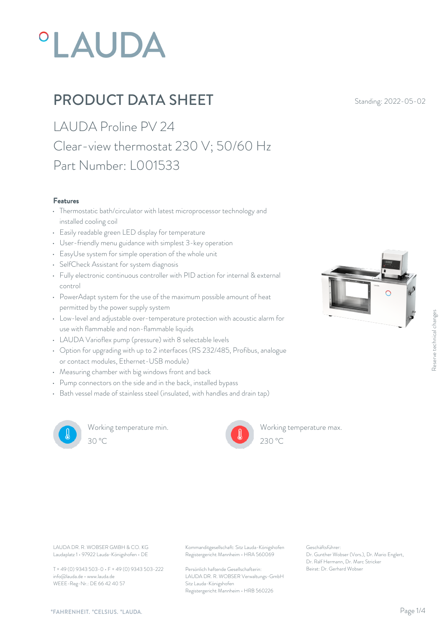# **°LAUDA**

# **PRODUCT DATA SHEET** Standing: 2022-05-02

LAUDA Proline PV 24 Clear-view thermostat 230 V; 50/60 Hz Part Number: L001533

#### Features

- Thermostatic bath/circulator with latest microprocessor technology and installed cooling coil
- Easily readable green LED display for temperature
- User-friendly menu guidance with simplest 3-key operation
- EasyUse system for simple operation of the whole unit
- SelfCheck Assistant for system diagnosis
- Fully electronic continuous controller with PID action for internal & external control
- PowerAdapt system for the use of the maximum possible amount of heat permitted by the power supply system
- Low-level and adjustable over-temperature protection with acoustic alarm for use with flammable and non-flammable liquids
- LAUDA Varioflex pump (pressure) with 8 selectable levels
- Option for upgrading with up to 2 interfaces (RS 232/485, Profibus, analogue or contact modules, Ethernet-USB module)
- Measuring chamber with big windows front and back
- Pump connectors on the side and in the back, installed bypass
- Bath vessel made of stainless steel (insulated, with handles and drain tap)



Working temperature min. 30 °C 230 °C



Working temperature max.  $230 \text{ °C}$ 

Laudaplatz 1 • 97922 Lauda-Königshofen • DE

T + 49 (0) 9343 503-0 • F + 49 (0) 9343 503-222 info@lauda.de • www.lauda.de WEEE-Reg-Nr.: DE 66 42 40 57

LAUDA DR. R. WOBSER GMBH & CO. KG Kommanditgesellschaft: Sitz Lauda-Königshofen Geschäftsführer: Registergericht Mannheim • HRA 560069

> Persönlich haftende Gesellschafterin: Beirat: Dr. Gerhard Wobse LAUDA DR. R. WOBSER Verwaltungs-GmbH Sitz Lauda-Königshofen Registergericht Mannheim • HRB 560226

Geschäftsführer: Dr. Gunther Wobser (Vors.), Dr. Mario Englert, Dr. Ralf Hermann, Dr. Marc Stricker Beschäftsführer:<br>Beischäftsführer:<br>Dr. Gunther Wobser (Vors.), Dr. Mario Englert,<br>Dr. Ralf Hermann, Dr. Marc Stricker<br>Beirat: Dr. Gerhard Wobser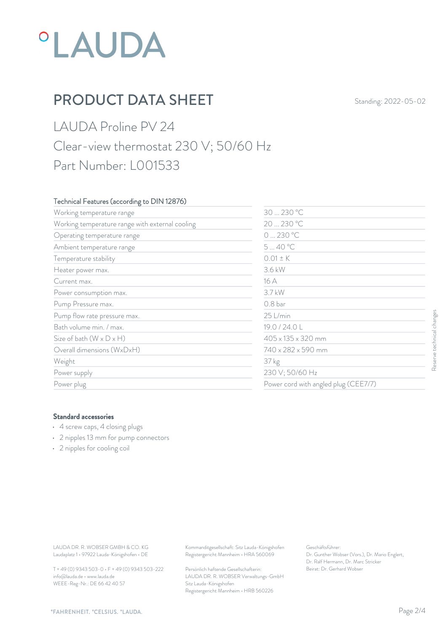# **°LAUDA**

# **PRODUCT DATA SHEET** Standing: 2022-05-02

## LAUDA Proline PV 24 Clear-view thermostat 230 V; 50/60 Hz Part Number: L001533

### Technical Features (according to DIN 12876)

| Working temperature range                                                                                                             | 30  230 °C                                                                             |                                                                                                           |                           |
|---------------------------------------------------------------------------------------------------------------------------------------|----------------------------------------------------------------------------------------|-----------------------------------------------------------------------------------------------------------|---------------------------|
| Working temperature range with external cooling                                                                                       |                                                                                        | 20  230 °C<br>0230 °C                                                                                     |                           |
| Operating temperature range                                                                                                           |                                                                                        |                                                                                                           |                           |
| Ambient temperature range                                                                                                             | 540 °C                                                                                 |                                                                                                           |                           |
| Temperature stability                                                                                                                 | $0.01 \pm K$                                                                           |                                                                                                           |                           |
| Heater power max.                                                                                                                     | 3.6 kW                                                                                 |                                                                                                           |                           |
| Current max.                                                                                                                          | 16 A                                                                                   |                                                                                                           |                           |
| Power consumption max.                                                                                                                | 3.7 kW                                                                                 | 0.8 bar                                                                                                   |                           |
| Pump Pressure max.                                                                                                                    |                                                                                        |                                                                                                           |                           |
| Pump flow rate pressure max.                                                                                                          | 25 L/min                                                                               |                                                                                                           |                           |
| Bath volume min. / max.                                                                                                               | 19.0 / 24.0 L                                                                          |                                                                                                           |                           |
| Size of bath $(W \times D \times H)$                                                                                                  |                                                                                        | 405 x 135 x 320 mm                                                                                        | Reserve technical changes |
| Overall dimensions (WxDxH)                                                                                                            |                                                                                        | 740 x 282 x 590 mm<br>37 kg<br>230 V; 50/60 Hz                                                            |                           |
| Weight                                                                                                                                |                                                                                        |                                                                                                           |                           |
| Power supply                                                                                                                          |                                                                                        |                                                                                                           |                           |
| Power plug                                                                                                                            |                                                                                        | Power cord with angled plug (CEE7/7)                                                                      |                           |
| <b>Standard accessories</b><br>4 screw caps, 4 closing plugs<br>• 2 nipples 13 mm for pump connectors<br>• 2 nipples for cooling coil |                                                                                        |                                                                                                           |                           |
|                                                                                                                                       |                                                                                        |                                                                                                           |                           |
| LAUDA DR. R. WOBSER GMBH & CO. KG<br>Laudaplatz 1 · 97922 Lauda-Königshofen · DE                                                      | Kommanditgesellschaft: Sitz Lauda-Königshofen<br>Registergericht Mannheim · HRA 560069 | Geschäftsführer:<br>Dr. Gunther Wobser (Vors.), Dr. Mario Englert,<br>Dr. Ralf Hermann, Dr. Marc Stricker |                           |
| T + 49 (0) 9343 503-0 · F + 49 (0) 9343 503-222                                                                                       | Persönlich haftende Gesellschafterin:                                                  | Beirat: Dr. Gerhard Wobser                                                                                |                           |

### Standard accessories

- 4 screw caps, 4 closing plugs
- 2 nipples 13 mm for pump connectors
- 2 nipples for cooling coil

T + 49 (0) 9343 503-0 • F + 49 (0) 9343 503-222 info@lauda.de • www.lauda.de WEEE-Reg-Nr.: DE 66 42 40 57

> Persönlich haftende Gesellschafterin: Beirat: Dr. Gerhard Wobse LAUDA DR. R. WOBSER Verwaltungs-GmbH Sitz Lauda-Königshofen Registergericht Mannheim • HRB 560226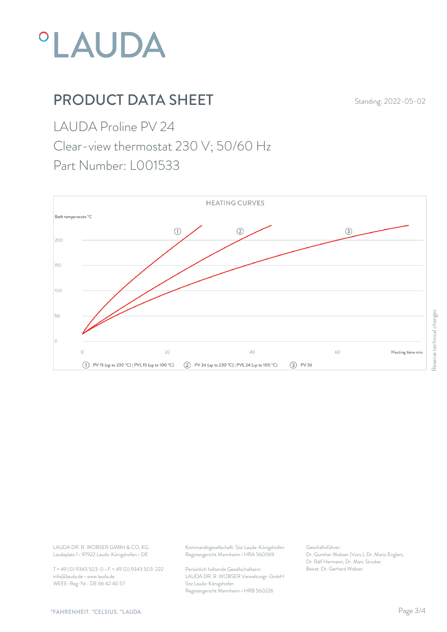

# **PRODUCT DATA SHEET** Standing: 2022-05-02

LAUDA Proline PV 24

Clear-view thermostat 230 V; 50/60 Hz

Part Number: L001533



Laudaplatz 1 • 97922 Lauda-Königshofen • DE

T + 49 (0) 9343 503-0 • F + 49 (0) 9343 503-222 info@lauda.de • www.lauda.de WEEE-Reg-Nr.: DE 66 42 40 57

LAUDA DR. R. WOBSER GMBH & CO. KG Kommanditgesellschaft: Sitz Lauda-Königshofen Geschäftsführer: Registergericht Mannheim • HRA 560069

> Persönlich haftende Gesellschafterin: Beirat: Dr. Gerhard Wobse LAUDA DR. R. WOBSER Verwaltungs-GmbH Sitz Lauda-Königshofen Registergericht Mannheim • HRB 560226

Geschäftsführer: Dr. Gunther Wobser (Vors.), Dr. Mario Englert, Dr. Ralf Hermann, Dr. Marc Stricker